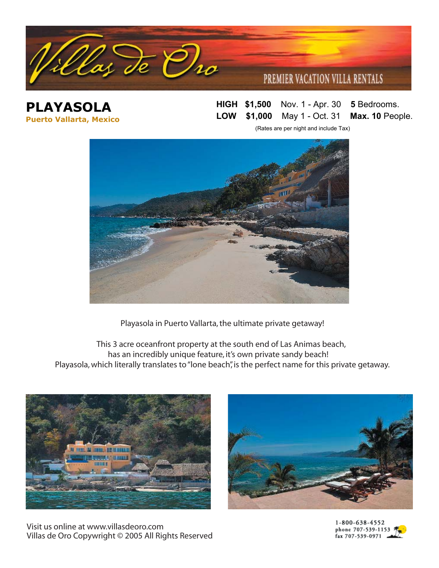

**PLAYASOLA Puerto Vallarta, Mexico** **HIGH \$1,50** Nov. 1 - Apr. 30 **5** Bedrooms. **LOW \$1,50** May 1 - Oct. 31 **Max. 10** People.

(Rates are per night and include Tax)



Playasola in Puerto Vallarta, the ultimate private getaway!

 This 3 acre oceanfront property at the south end of Las Animas beach, has an incredibly unique feature, it's own private sandy beach! Playasola, which literally translates to "lone beach", is the perfect name for this private getaway.



Visit us online at www.villasdeoro.com Villas de Oro Copywright © 2005 All Rights Reserved



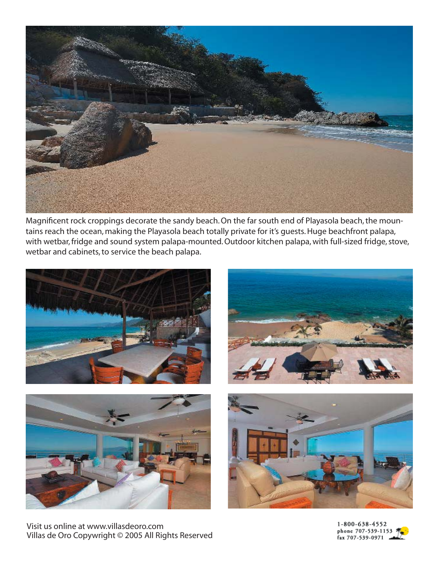

Magnificent rock croppings decorate the sandy beach. On the far south end of Playasola beach, the mountains reach the ocean, making the Playasola beach totally private for it's guests. Huge beachfront palapa, with wetbar, fridge and sound system palapa-mounted. Outdoor kitchen palapa, with full-sized fridge, stove, wetbar and cabinets, to service the beach palapa.





Visit us online at www.villasdeoro.com Villas de Oro Copywright © 2005 All Rights Reserved





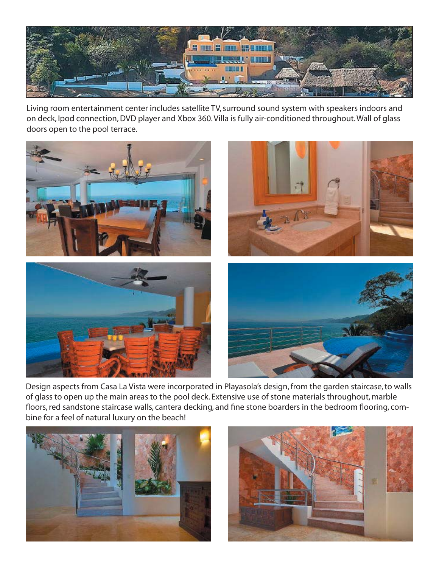

Living room entertainment center includes satellite TV, surround sound system with speakers indoors and on deck, Ipod connection, DVD player and Xbox 360. Villa is fully air-conditioned throughout. Wall of glass doors open to the pool terrace.



Design aspects from Casa La Vista were incorporated in Playasola's design, from the garden staircase, to walls of glass to open up the main areas to the pool deck. Extensive use of stone materials throughout, marble floors, red sandstone staircase walls, cantera decking, and fine stone boarders in the bedroom flooring, combine for a feel of natural luxury on the beach!



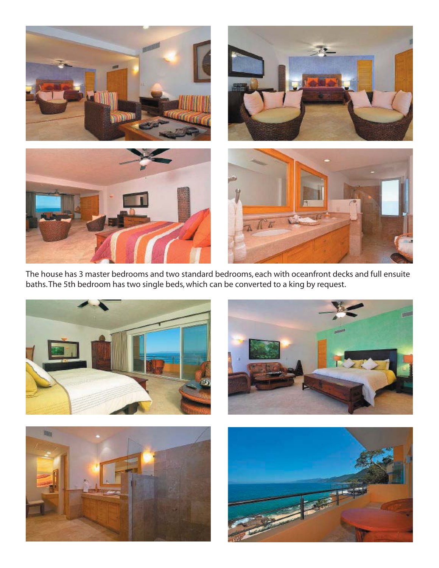

The house has 3 master bedrooms and two standard bedrooms, each with oceanfront decks and full ensuite baths. The 5th bedroom has two single beds, which can be converted to a king by request.







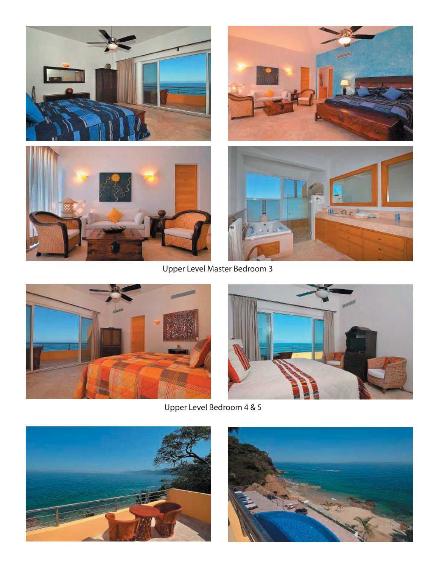







Upper Level Master Bedroom 3





Upper Level Bedroom 4 & 5



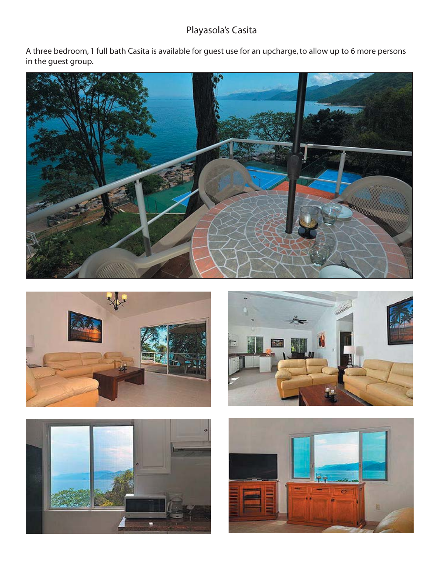## Playasola's Casita

A three bedroom, 1 full bath Casita is available for guest use for an upcharge, to allow up to 6 more persons in the guest group.









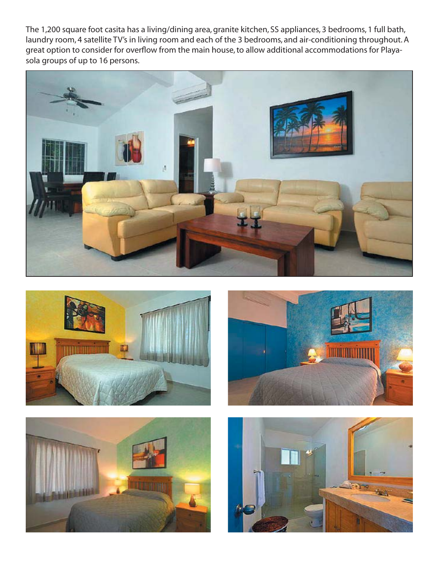The 1,200 square foot casita has a living/dining area, granite kitchen, SS appliances, 3 bedrooms, 1 full bath, laundry room, 4 satellite TV's in living room and each of the 3 bedrooms, and air-conditioning throughout. A great option to consider for overflow from the main house, to allow additional accommodations for Playasola groups of up to 16 persons.









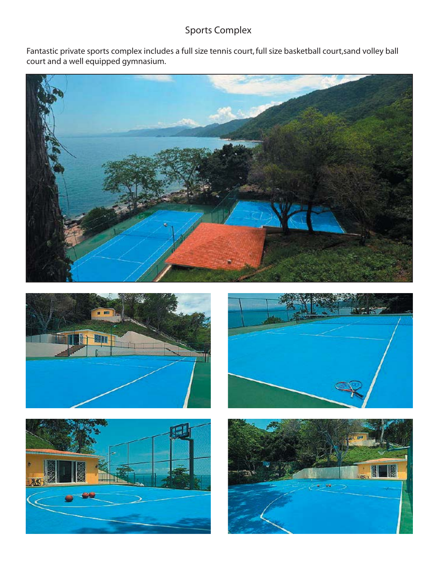## Sports Complex

Fantastic private sports complex includes a full size tennis court, full size basketball court,sand volley ball court and a well equipped gymnasium.









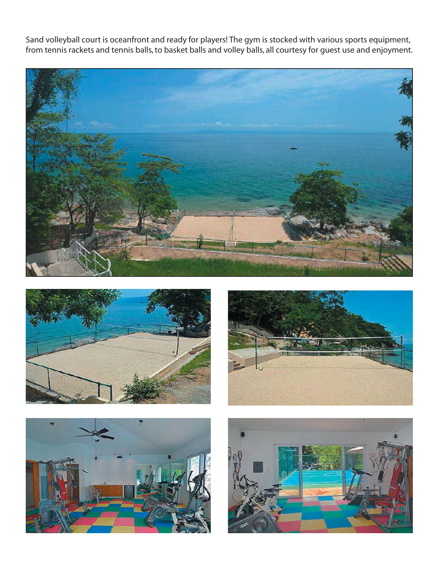Sand volleyball court is oceanfront and ready for players! The gym is stocked with various sports equipment, from tennis rackets and tennis balls, to basket balls and volley balls, all courtesy for guest use and enjoyment.